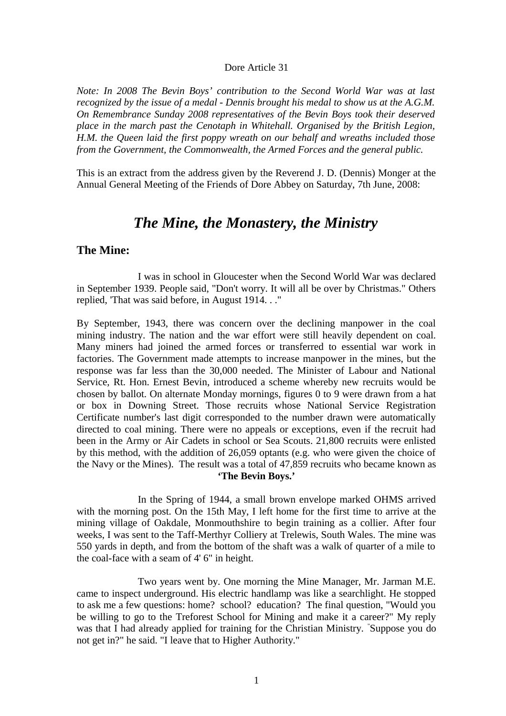#### Dore Article 31

*Note: In 2008 The Bevin Boys' contribution to the Second World War was at last recognized by the issue of a medal - Dennis brought his medal to show us at the A.G.M. On Remembrance Sunday 2008 representatives of the Bevin Boys took their deserved place in the march past the Cenotaph in Whitehall. Organised by the British Legion, H.M. the Queen laid the first poppy wreath on our behalf and wreaths included those from the Government, the Commonwealth, the Armed Forces and the general public.*

This is an extract from the address given by the Reverend J. D. (Dennis) Monger at the Annual General Meeting of the Friends of Dore Abbey on Saturday, 7th June, 2008:

# *The Mine, the Monastery, the Ministry*

#### **The Mine:**

I was in school in Gloucester when the Second World War was declared in September 1939. People said, "Don't worry. It will all be over by Christmas." Others replied, 'That was said before, in August 1914. . ."

By September, 1943, there was concern over the declining manpower in the coal mining industry. The nation and the war effort were still heavily dependent on coal. Many miners had joined the armed forces or transferred to essential war work in factories. The Government made attempts to increase manpower in the mines, but the response was far less than the 30,000 needed. The Minister of Labour and National Service, Rt. Hon. Ernest Bevin, introduced a scheme whereby new recruits would be chosen by ballot. On alternate Monday mornings, figures 0 to 9 were drawn from a hat or box in Downing Street. Those recruits whose National Service Registration Certificate number's last digit corresponded to the number drawn were automatically directed to coal mining. There were no appeals or exceptions, even if the recruit had been in the Army or Air Cadets in school or Sea Scouts. 21,800 recruits were enlisted by this method, with the addition of 26,059 optants (e.g. who were given the choice of the Navy or the Mines). The result was a total of 47,859 recruits who became known as **'The Bevin Boys.'**

In the Spring of 1944, a small brown envelope marked OHMS arrived with the morning post. On the 15th May, I left home for the first time to arrive at the mining village of Oakdale, Monmouthshire to begin training as a collier. After four weeks, I was sent to the Taff-Merthyr Colliery at Trelewis, South Wales. The mine was 550 yards in depth, and from the bottom of the shaft was a walk of quarter of a mile to the coal-face with a seam of 4' 6" in height.

Two years went by. One morning the Mine Manager, Mr. Jarman M.E. came to inspect underground. His electric handlamp was like a searchlight. He stopped to ask me a few questions: home? school? education? The final question, "Would you be willing to go to the Treforest School for Mining and make it a career?" My reply was that I had already applied for training for the Christian Ministry. "Suppose you do not get in?" he said. "I leave that to Higher Authority."